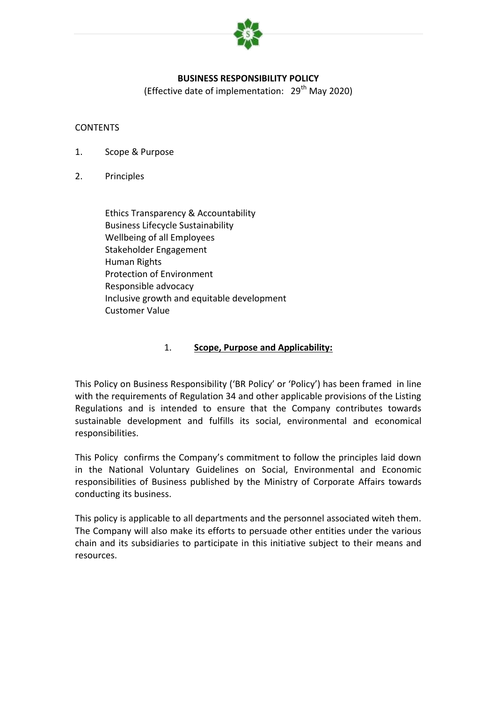

### **BUSINESS RESPONSIBILITY POLICY**

(Effective date of implementation:  $29<sup>th</sup>$  May 2020)

#### **CONTENTS**

- 1. Scope & Purpose
- 2. Principles

Ethics Transparency & Accountability Business Lifecycle Sustainability Wellbeing of all Employees Stakeholder Engagement Human Rights Protection of Environment Responsible advocacy Inclusive growth and equitable development Customer Value

#### 1. **Scope, Purpose and Applicability:**

This Policy on Business Responsibility ('BR Policy' or 'Policy') has been framed in line with the requirements of Regulation 34 and other applicable provisions of the Listing Regulations and is intended to ensure that the Company contributes towards sustainable development and fulfills its social, environmental and economical responsibilities.

This Policy confirms the Company's commitment to follow the principles laid down in the National Voluntary Guidelines on Social, Environmental and Economic responsibilities of Business published by the Ministry of Corporate Affairs towards conducting its business.

This policy is applicable to all departments and the personnel associated witeh them. The Company will also make its efforts to persuade other entities under the various chain and its subsidiaries to participate in this initiative subject to their means and resources.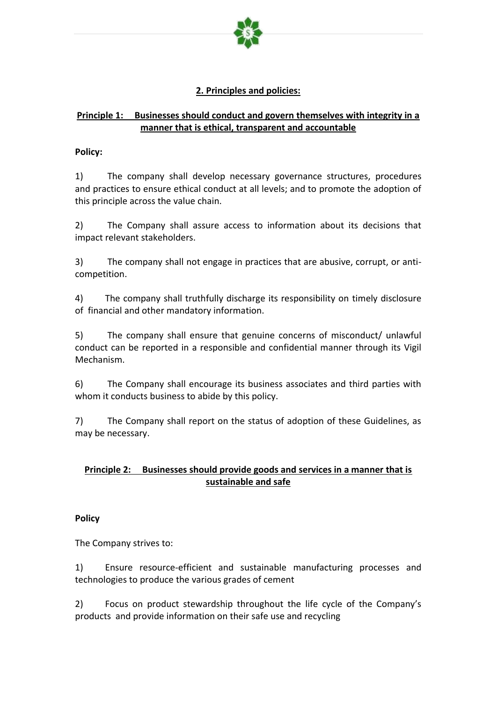

# **2. Principles and policies:**

# **Principle 1: Businesses should conduct and govern themselves with integrity in a manner that is ethical, transparent and accountable**

#### **Policy:**

1) The company shall develop necessary governance structures, procedures and practices to ensure ethical conduct at all levels; and to promote the adoption of this principle across the value chain.

2) The Company shall assure access to information about its decisions that impact relevant stakeholders.

3) The company shall not engage in practices that are abusive, corrupt, or anticompetition.

4) The company shall truthfully discharge its responsibility on timely disclosure of financial and other mandatory information.

5) The company shall ensure that genuine concerns of misconduct/ unlawful conduct can be reported in a responsible and confidential manner through its Vigil Mechanism.

6) The Company shall encourage its business associates and third parties with whom it conducts business to abide by this policy.

7) The Company shall report on the status of adoption of these Guidelines, as may be necessary.

# **Principle 2: Businesses should provide goods and services in a manner that is sustainable and safe**

### **Policy**

The Company strives to:

1) Ensure resource-efficient and sustainable manufacturing processes and technologies to produce the various grades of cement

2) Focus on product stewardship throughout the life cycle of the Company's products and provide information on their safe use and recycling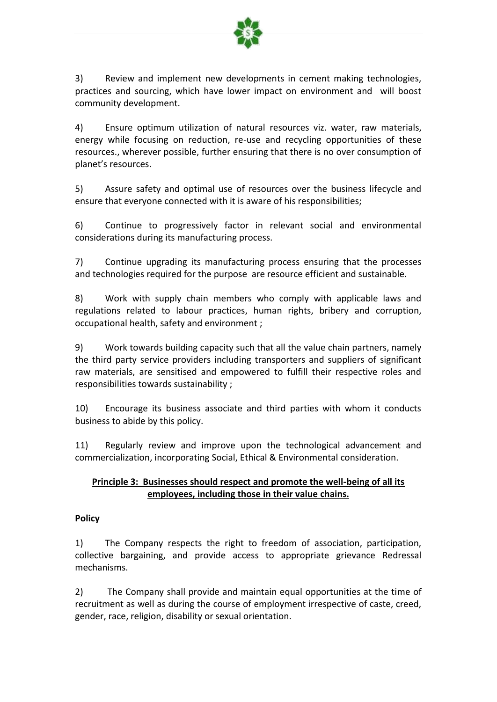

3) Review and implement new developments in cement making technologies, practices and sourcing, which have lower impact on environment and will boost community development.

4) Ensure optimum utilization of natural resources viz. water, raw materials, energy while focusing on reduction, re-use and recycling opportunities of these resources., wherever possible, further ensuring that there is no over consumption of planet's resources.

5) Assure safety and optimal use of resources over the business lifecycle and ensure that everyone connected with it is aware of his responsibilities;

6) Continue to progressively factor in relevant social and environmental considerations during its manufacturing process.

7) Continue upgrading its manufacturing process ensuring that the processes and technologies required for the purpose are resource efficient and sustainable.

8) Work with supply chain members who comply with applicable laws and regulations related to labour practices, human rights, bribery and corruption, occupational health, safety and environment ;

9) Work towards building capacity such that all the value chain partners, namely the third party service providers including transporters and suppliers of significant raw materials, are sensitised and empowered to fulfill their respective roles and responsibilities towards sustainability ;

10) Encourage its business associate and third parties with whom it conducts business to abide by this policy.

11) Regularly review and improve upon the technological advancement and commercialization, incorporating Social, Ethical & Environmental consideration.

## **Principle 3: Businesses should respect and promote the well-being of all its employees, including those in their value chains.**

### **Policy**

1) The Company respects the right to freedom of association, participation, collective bargaining, and provide access to appropriate grievance Redressal mechanisms.

2) The Company shall provide and maintain equal opportunities at the time of recruitment as well as during the course of employment irrespective of caste, creed, gender, race, religion, disability or sexual orientation.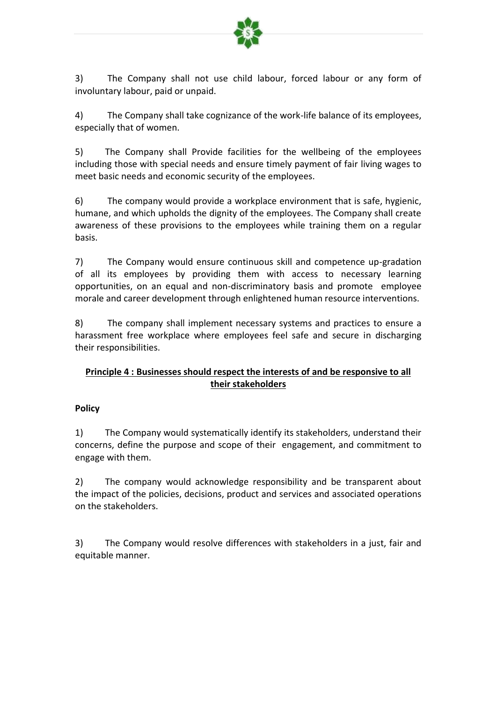

3) The Company shall not use child labour, forced labour or any form of involuntary labour, paid or unpaid.

4) The Company shall take cognizance of the work-life balance of its employees, especially that of women.

5) The Company shall Provide facilities for the wellbeing of the employees including those with special needs and ensure timely payment of fair living wages to meet basic needs and economic security of the employees.

6) The company would provide a workplace environment that is safe, hygienic, humane, and which upholds the dignity of the employees. The Company shall create awareness of these provisions to the employees while training them on a regular basis.

7) The Company would ensure continuous skill and competence up-gradation of all its employees by providing them with access to necessary learning opportunities, on an equal and non-discriminatory basis and promote employee morale and career development through enlightened human resource interventions.

8) The company shall implement necessary systems and practices to ensure a harassment free workplace where employees feel safe and secure in discharging their responsibilities.

# **Principle 4 : Businesses should respect the interests of and be responsive to all their stakeholders**

### **Policy**

1) The Company would systematically identify its stakeholders, understand their concerns, define the purpose and scope of their engagement, and commitment to engage with them.

2) The company would acknowledge responsibility and be transparent about the impact of the policies, decisions, product and services and associated operations on the stakeholders.

3) The Company would resolve differences with stakeholders in a just, fair and equitable manner.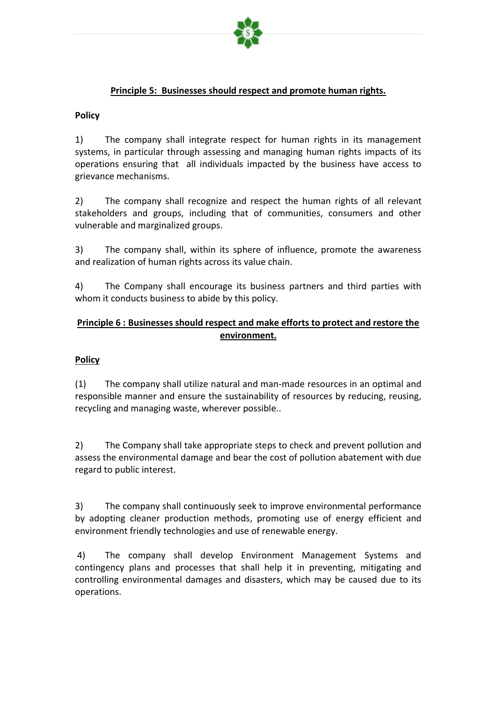

### **Principle 5: Businesses should respect and promote human rights.**

#### **Policy**

1) The company shall integrate respect for human rights in its management systems, in particular through assessing and managing human rights impacts of its operations ensuring that all individuals impacted by the business have access to grievance mechanisms.

2) The company shall recognize and respect the human rights of all relevant stakeholders and groups, including that of communities, consumers and other vulnerable and marginalized groups.

3) The company shall, within its sphere of influence, promote the awareness and realization of human rights across its value chain.

4) The Company shall encourage its business partners and third parties with whom it conducts business to abide by this policy.

# **Principle 6 : Businesses should respect and make efforts to protect and restore the environment.**

### **Policy**

(1) The company shall utilize natural and man-made resources in an optimal and responsible manner and ensure the sustainability of resources by reducing, reusing, recycling and managing waste, wherever possible..

2) The Company shall take appropriate steps to check and prevent pollution and assess the environmental damage and bear the cost of pollution abatement with due regard to public interest.

3) The company shall continuously seek to improve environmental performance by adopting cleaner production methods, promoting use of energy efficient and environment friendly technologies and use of renewable energy.

4) The company shall develop Environment Management Systems and contingency plans and processes that shall help it in preventing, mitigating and controlling environmental damages and disasters, which may be caused due to its operations.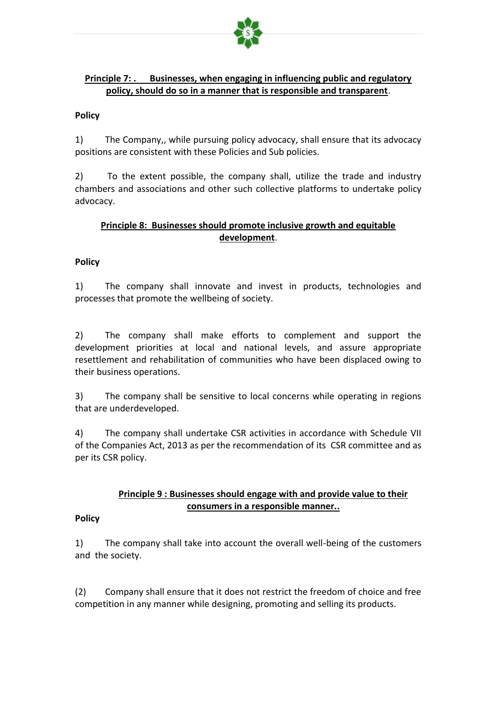

### **Principle 7: . Businesses, when engaging in influencing public and regulatory policy, should do so in a manner that is responsible and transparent**.

#### **Policy**

1) The Company,, while pursuing policy advocacy, shall ensure that its advocacy positions are consistent with these Policies and Sub policies.

2) To the extent possible, the company shall, utilize the trade and industry chambers and associations and other such collective platforms to undertake policy advocacy.

### **Principle 8: Businesses should promote inclusive growth and equitable development**.

### **Policy**

1) The company shall innovate and invest in products, technologies and processes that promote the wellbeing of society.

2) The company shall make efforts to complement and support the development priorities at local and national levels, and assure appropriate resettlement and rehabilitation of communities who have been displaced owing to their business operations.

3) The company shall be sensitive to local concerns while operating in regions that are underdeveloped.

4) The company shall undertake CSR activities in accordance with Schedule VII of the Companies Act, 2013 as per the recommendation of its CSR committee and as per its CSR policy.

## **Principle 9 : Businesses should engage with and provide value to their consumers in a responsible manner..**

#### **Policy**

1) The company shall take into account the overall well-being of the customers and the society.

(2) Company shall ensure that it does not restrict the freedom of choice and free competition in any manner while designing, promoting and selling its products.